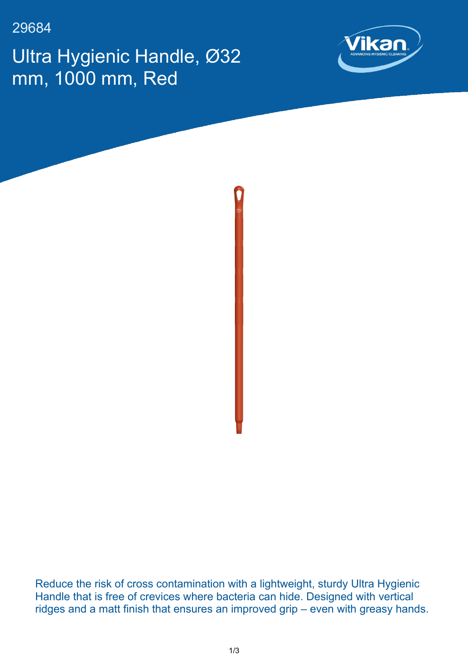29684

Ultra Hygienic Handle, Ø32 mm, 1000 mm, Red





Reduce the risk of cross contamination with a lightweight, sturdy Ultra Hygienic Handle that is free of crevices where bacteria can hide. Designed with vertical ridges and a matt finish that ensures an improved grip – even with greasy hands.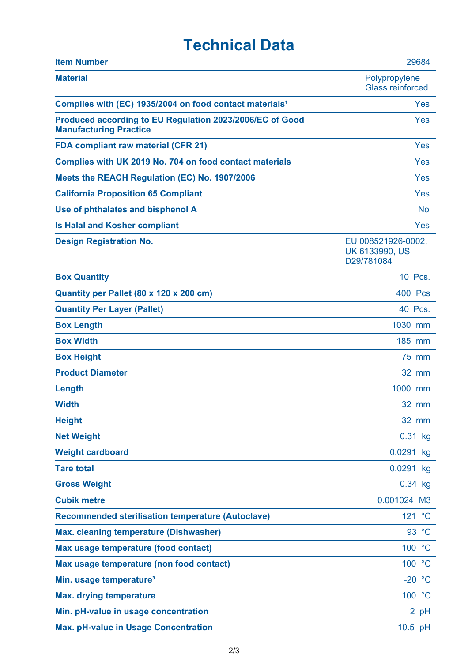## **Technical Data**

| <b>Item Number</b>                                                                        | 29684                                                     |
|-------------------------------------------------------------------------------------------|-----------------------------------------------------------|
| <b>Material</b>                                                                           | Polypropylene<br><b>Glass reinforced</b>                  |
| Complies with (EC) 1935/2004 on food contact materials <sup>1</sup>                       | Yes                                                       |
| Produced according to EU Regulation 2023/2006/EC of Good<br><b>Manufacturing Practice</b> | Yes                                                       |
| <b>FDA compliant raw material (CFR 21)</b>                                                | Yes                                                       |
| Complies with UK 2019 No. 704 on food contact materials                                   | Yes                                                       |
| Meets the REACH Regulation (EC) No. 1907/2006                                             | Yes                                                       |
| <b>California Proposition 65 Compliant</b>                                                | Yes                                                       |
| Use of phthalates and bisphenol A                                                         | <b>No</b>                                                 |
| <b>Is Halal and Kosher compliant</b>                                                      | Yes                                                       |
| <b>Design Registration No.</b>                                                            | EU 008521926-0002,<br><b>UK 6133990, US</b><br>D29/781084 |
| <b>Box Quantity</b>                                                                       | 10 Pcs.                                                   |
| Quantity per Pallet (80 x 120 x 200 cm)                                                   | 400 Pcs                                                   |
| <b>Quantity Per Layer (Pallet)</b>                                                        | 40 Pcs.                                                   |
| <b>Box Length</b>                                                                         | 1030 mm                                                   |
| <b>Box Width</b>                                                                          | 185 mm                                                    |
| <b>Box Height</b>                                                                         | 75 mm                                                     |
| <b>Product Diameter</b>                                                                   | 32 mm                                                     |
| Length                                                                                    | 1000 mm                                                   |
| <b>Width</b>                                                                              | <b>32 mm</b>                                              |
| <b>Height</b>                                                                             | 32 mm                                                     |
| <b>Net Weight</b>                                                                         | $0.31$ kg                                                 |
| <b>Weight cardboard</b>                                                                   | 0.0291 kg                                                 |
| <b>Tare total</b>                                                                         | 0.0291 kg                                                 |
| <b>Gross Weight</b>                                                                       | $0.34$ kg                                                 |
| <b>Cubik metre</b>                                                                        | 0.001024 M3                                               |
| <b>Recommended sterilisation temperature (Autoclave)</b>                                  | 121 °C                                                    |
| <b>Max. cleaning temperature (Dishwasher)</b>                                             | 93 °C                                                     |
| Max usage temperature (food contact)                                                      | 100 °C                                                    |
| Max usage temperature (non food contact)                                                  | 100 °C                                                    |
| Min. usage temperature <sup>3</sup>                                                       | $-20 °C$                                                  |
| <b>Max. drying temperature</b>                                                            | 100 °C                                                    |
| Min. pH-value in usage concentration                                                      | 2 pH                                                      |
| <b>Max. pH-value in Usage Concentration</b>                                               | 10.5 pH                                                   |